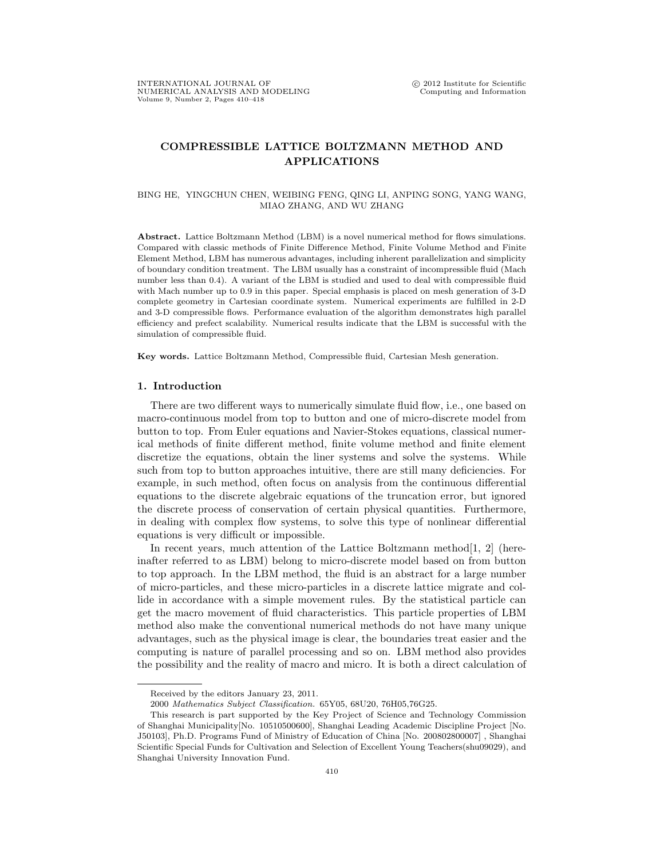# COMPRESSIBLE LATTICE BOLTZMANN METHOD AND APPLICATIONS

#### BING HE, YINGCHUN CHEN, WEIBING FENG, QING LI, ANPING SONG, YANG WANG, MIAO ZHANG, AND WU ZHANG

Abstract. Lattice Boltzmann Method (LBM) is a novel numerical method for flows simulations. Compared with classic methods of Finite Difference Method, Finite Volume Method and Finite Element Method, LBM has numerous advantages, including inherent parallelization and simplicity of boundary condition treatment. The LBM usually has a constraint of incompressible fluid (Mach number less than 0.4). A variant of the LBM is studied and used to deal with compressible fluid with Mach number up to 0.9 in this paper. Special emphasis is placed on mesh generation of 3-D complete geometry in Cartesian coordinate system. Numerical experiments are fulfilled in 2-D and 3-D compressible flows. Performance evaluation of the algorithm demonstrates high parallel efficiency and prefect scalability. Numerical results indicate that the LBM is successful with the simulation of compressible fluid.

Key words. Lattice Boltzmann Method, Compressible fluid, Cartesian Mesh generation.

## 1. Introduction

There are two different ways to numerically simulate fluid flow, i.e., one based on macro-continuous model from top to button and one of micro-discrete model from button to top. From Euler equations and Navier-Stokes equations, classical numerical methods of finite different method, finite volume method and finite element discretize the equations, obtain the liner systems and solve the systems. While such from top to button approaches intuitive, there are still many deficiencies. For example, in such method, often focus on analysis from the continuous differential equations to the discrete algebraic equations of the truncation error, but ignored the discrete process of conservation of certain physical quantities. Furthermore, in dealing with complex flow systems, to solve this type of nonlinear differential equations is very difficult or impossible.

In recent years, much attention of the Lattice Boltzmann method<sup>[1, 2]</sup> (hereinafter referred to as LBM) belong to micro-discrete model based on from button to top approach. In the LBM method, the fluid is an abstract for a large number of micro-particles, and these micro-particles in a discrete lattice migrate and collide in accordance with a simple movement rules. By the statistical particle can get the macro movement of fluid characteristics. This particle properties of LBM method also make the conventional numerical methods do not have many unique advantages, such as the physical image is clear, the boundaries treat easier and the computing is nature of parallel processing and so on. LBM method also provides the possibility and the reality of macro and micro. It is both a direct calculation of

Received by the editors January 23, 2011.

<sup>2000</sup> Mathematics Subject Classification. 65Y05, 68U20, 76H05,76G25.

This research is part supported by the Key Project of Science and Technology Commission of Shanghai Municipality[No. 10510500600], Shanghai Leading Academic Discipline Project [No. J50103], Ph.D. Programs Fund of Ministry of Education of China [No. 200802800007] , Shanghai Scientific Special Funds for Cultivation and Selection of Excellent Young Teachers(shu09029), and Shanghai University Innovation Fund.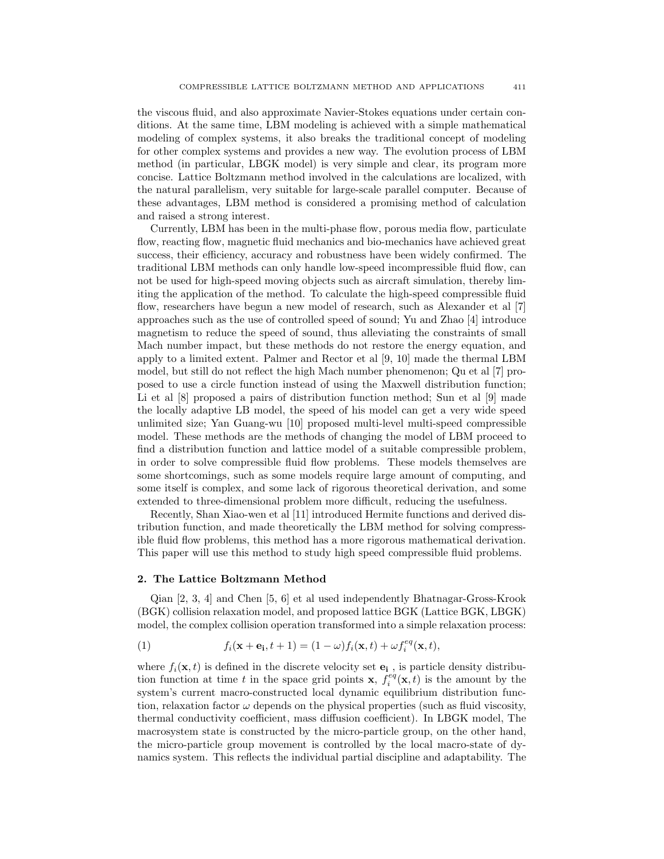the viscous fluid, and also approximate Navier-Stokes equations under certain conditions. At the same time, LBM modeling is achieved with a simple mathematical modeling of complex systems, it also breaks the traditional concept of modeling for other complex systems and provides a new way. The evolution process of LBM method (in particular, LBGK model) is very simple and clear, its program more concise. Lattice Boltzmann method involved in the calculations are localized, with the natural parallelism, very suitable for large-scale parallel computer. Because of these advantages, LBM method is considered a promising method of calculation and raised a strong interest.

Currently, LBM has been in the multi-phase flow, porous media flow, particulate flow, reacting flow, magnetic fluid mechanics and bio-mechanics have achieved great success, their efficiency, accuracy and robustness have been widely confirmed. The traditional LBM methods can only handle low-speed incompressible fluid flow, can not be used for high-speed moving objects such as aircraft simulation, thereby limiting the application of the method. To calculate the high-speed compressible fluid flow, researchers have begun a new model of research, such as Alexander et al [7] approaches such as the use of controlled speed of sound; Yu and Zhao [4] introduce magnetism to reduce the speed of sound, thus alleviating the constraints of small Mach number impact, but these methods do not restore the energy equation, and apply to a limited extent. Palmer and Rector et al [9, 10] made the thermal LBM model, but still do not reflect the high Mach number phenomenon; Qu et al [7] proposed to use a circle function instead of using the Maxwell distribution function; Li et al [8] proposed a pairs of distribution function method; Sun et al [9] made the locally adaptive LB model, the speed of his model can get a very wide speed unlimited size; Yan Guang-wu [10] proposed multi-level multi-speed compressible model. These methods are the methods of changing the model of LBM proceed to find a distribution function and lattice model of a suitable compressible problem, in order to solve compressible fluid flow problems. These models themselves are some shortcomings, such as some models require large amount of computing, and some itself is complex, and some lack of rigorous theoretical derivation, and some extended to three-dimensional problem more difficult, reducing the usefulness.

Recently, Shan Xiao-wen et al [11] introduced Hermite functions and derived distribution function, and made theoretically the LBM method for solving compressible fluid flow problems, this method has a more rigorous mathematical derivation. This paper will use this method to study high speed compressible fluid problems.

### 2. The Lattice Boltzmann Method

Qian [2, 3, 4] and Chen [5, 6] et al used independently Bhatnagar-Gross-Krook (BGK) collision relaxation model, and proposed lattice BGK (Lattice BGK, LBGK) model, the complex collision operation transformed into a simple relaxation process:

(1) 
$$
f_i(\mathbf{x} + \mathbf{e_i}, t+1) = (1 - \omega) f_i(\mathbf{x}, t) + \omega f_i^{eq}(\mathbf{x}, t),
$$

where  $f_i(\mathbf{x}, t)$  is defined in the discrete velocity set  $\mathbf{e}_i$ , is particle density distribution function at time t in the space grid points **x**,  $f_i^{eq}(\mathbf{x}, t)$  is the amount by the system's current macro-constructed local dynamic equilibrium distribution function, relaxation factor  $\omega$  depends on the physical properties (such as fluid viscosity, thermal conductivity coefficient, mass diffusion coefficient). In LBGK model, The macrosystem state is constructed by the micro-particle group, on the other hand, the micro-particle group movement is controlled by the local macro-state of dynamics system. This reflects the individual partial discipline and adaptability. The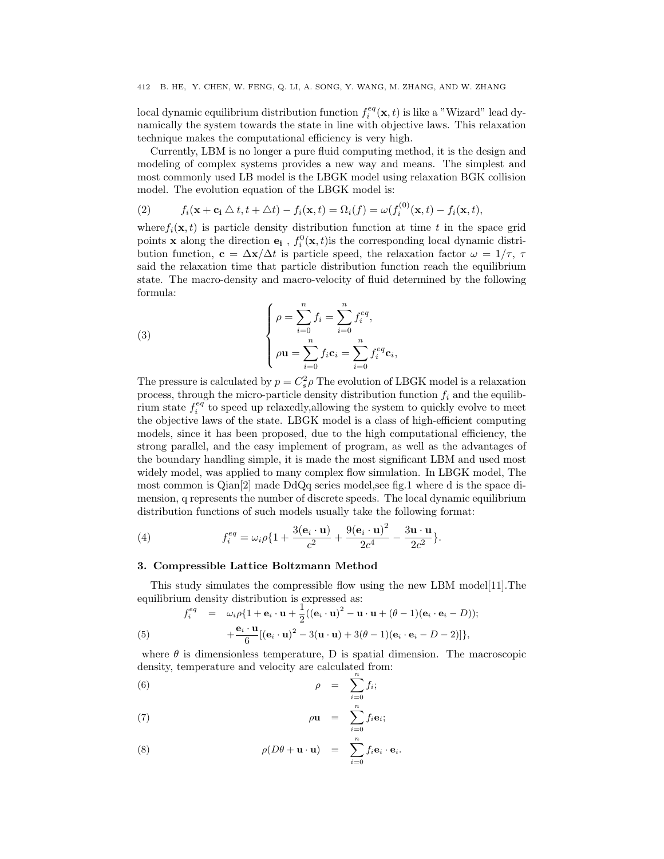local dynamic equilibrium distribution function  $f_i^{eq}(\mathbf{x}, t)$  is like a "Wizard" lead dynamically the system towards the state in line with objective laws. This relaxation technique makes the computational efficiency is very high.

Currently, LBM is no longer a pure fluid computing method, it is the design and modeling of complex systems provides a new way and means. The simplest and most commonly used LB model is the LBGK model using relaxation BGK collision model. The evolution equation of the LBGK model is:

(2) 
$$
f_i(\mathbf{x} + \mathbf{c_i} \bigtriangleup t, t + \bigtriangleup t) - f_i(\mathbf{x}, t) = \Omega_i(f) = \omega(f_i^{(0)}(\mathbf{x}, t) - f_i(\mathbf{x}, t),
$$

where  $f_i(\mathbf{x}, t)$  is particle density distribution function at time t in the space grid points **x** along the direction  $\mathbf{e}_i$ ,  $f_i^0(\mathbf{x}, t)$  is the corresponding local dynamic distribution function,  $\mathbf{c} = \Delta \mathbf{x}/\Delta t$  is particle speed, the relaxation factor  $\omega = 1/\tau$ ,  $\tau$ said the relaxation time that particle distribution function reach the equilibrium state. The macro-density and macro-velocity of fluid determined by the following formula:

(3) 
$$
\begin{cases} \n\rho = \sum_{i=0}^{n} f_i = \sum_{i=0}^{n} f_i^{eq}, \\ \n\rho \mathbf{u} = \sum_{i=0}^{n} f_i \mathbf{c}_i = \sum_{i=0}^{n} f_i^{eq} \mathbf{c}_i, \n\end{cases}
$$

The pressure is calculated by  $p = C_s^2 \rho$  The evolution of LBGK model is a relaxation process, through the micro-particle density distribution function  $f_i$  and the equilibrium state  $f_i^{eq}$  to speed up relaxedly,<br>allowing the system to quickly evolve to meet the objective laws of the state. LBGK model is a class of high-efficient computing models, since it has been proposed, due to the high computational efficiency, the strong parallel, and the easy implement of program, as well as the advantages of the boundary handling simple, it is made the most significant LBM and used most widely model, was applied to many complex flow simulation. In LBGK model, The most common is Qian[2] made DdQq series model,see fig.1 where d is the space dimension, q represents the number of discrete speeds. The local dynamic equilibrium distribution functions of such models usually take the following format:

(4) 
$$
f_i^{eq} = \omega_i \rho \{1 + \frac{3(\mathbf{e}_i \cdot \mathbf{u})}{c^2} + \frac{9(\mathbf{e}_i \cdot \mathbf{u})^2}{2c^4} - \frac{3\mathbf{u} \cdot \mathbf{u}}{2c^2}\}.
$$

#### 3. Compressible Lattice Boltzmann Method

This study simulates the compressible flow using the new LBM model[11].The equilibrium density distribution is expressed as:<br> $\frac{e^{e\theta}}{h}$ 

(5) 
$$
f_i^{eq} = \omega_i \rho \{1 + \mathbf{e}_i \cdot \mathbf{u} + \frac{1}{2} ((\mathbf{e}_i \cdot \mathbf{u})^2 - \mathbf{u} \cdot \mathbf{u} + (\theta - 1) (\mathbf{e}_i \cdot \mathbf{e}_i - D));
$$

$$
+ \frac{\mathbf{e}_i \cdot \mathbf{u}}{6} [(\mathbf{e}_i \cdot \mathbf{u})^2 - 3(\mathbf{u} \cdot \mathbf{u}) + 3(\theta - 1) (\mathbf{e}_i \cdot \mathbf{e}_i - D - 2)]\},
$$

where  $\theta$  is dimensionless temperature, D is spatial dimension. The macroscopic density, temperature and velocity are calculated from:

(6) 
$$
\rho = \sum_{i=0}^{n} f_i;
$$

(7) 
$$
\rho \mathbf{u} = \sum_{i=0}^{n} f_i \mathbf{e}_i;
$$

(8) 
$$
\rho(D\theta + \mathbf{u} \cdot \mathbf{u}) = \sum_{i=0}^{n} f_i \mathbf{e}_i \cdot \mathbf{e}_i.
$$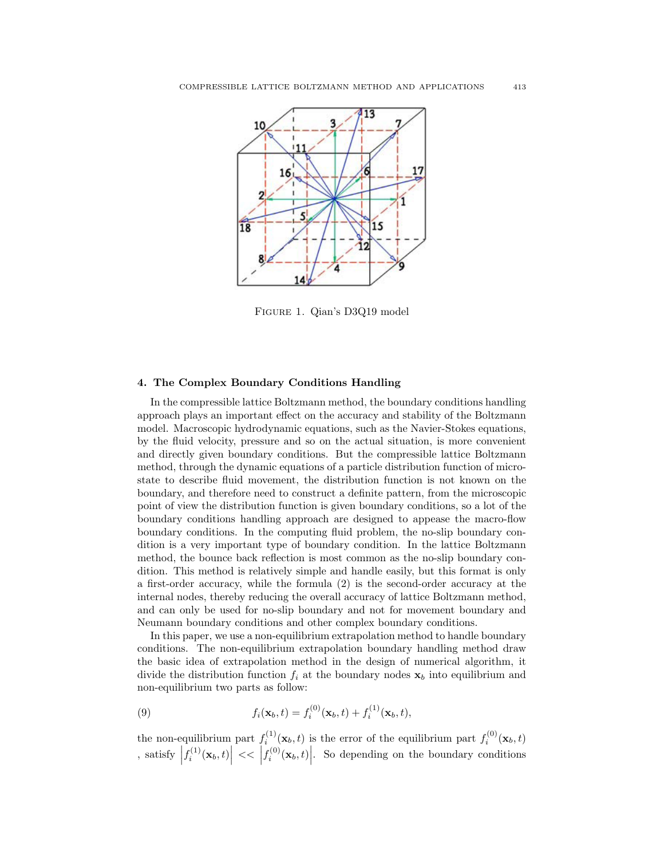

Figure 1. Qian's D3Q19 model

#### 4. The Complex Boundary Conditions Handling

In the compressible lattice Boltzmann method, the boundary conditions handling approach plays an important effect on the accuracy and stability of the Boltzmann model. Macroscopic hydrodynamic equations, such as the Navier-Stokes equations, by the fluid velocity, pressure and so on the actual situation, is more convenient and directly given boundary conditions. But the compressible lattice Boltzmann method, through the dynamic equations of a particle distribution function of microstate to describe fluid movement, the distribution function is not known on the boundary, and therefore need to construct a definite pattern, from the microscopic point of view the distribution function is given boundary conditions, so a lot of the boundary conditions handling approach are designed to appease the macro-flow boundary conditions. In the computing fluid problem, the no-slip boundary condition is a very important type of boundary condition. In the lattice Boltzmann method, the bounce back reflection is most common as the no-slip boundary condition. This method is relatively simple and handle easily, but this format is only a first-order accuracy, while the formula (2) is the second-order accuracy at the internal nodes, thereby reducing the overall accuracy of lattice Boltzmann method, and can only be used for no-slip boundary and not for movement boundary and Neumann boundary conditions and other complex boundary conditions.

In this paper, we use a non-equilibrium extrapolation method to handle boundary conditions. The non-equilibrium extrapolation boundary handling method draw the basic idea of extrapolation method in the design of numerical algorithm, it divide the distribution function  $f_i$  at the boundary nodes  $x_b$  into equilibrium and non-equilibrium two parts as follow:

(9) 
$$
f_i(\mathbf{x}_b, t) = f_i^{(0)}(\mathbf{x}_b, t) + f_i^{(1)}(\mathbf{x}_b, t),
$$

the non-equilibrium part  $f_i^{(1)}(\mathbf{x}_b, t)$  is the error of the equilibrium part  $f_i^{(0)}(\mathbf{x}_b, t)$ , satisfy  $|f_i^{(1)}(\mathbf{x}_b,t)| \ll |f_i^{(0)}(\mathbf{x}_b,t)|$ . So depending on the boundary conditions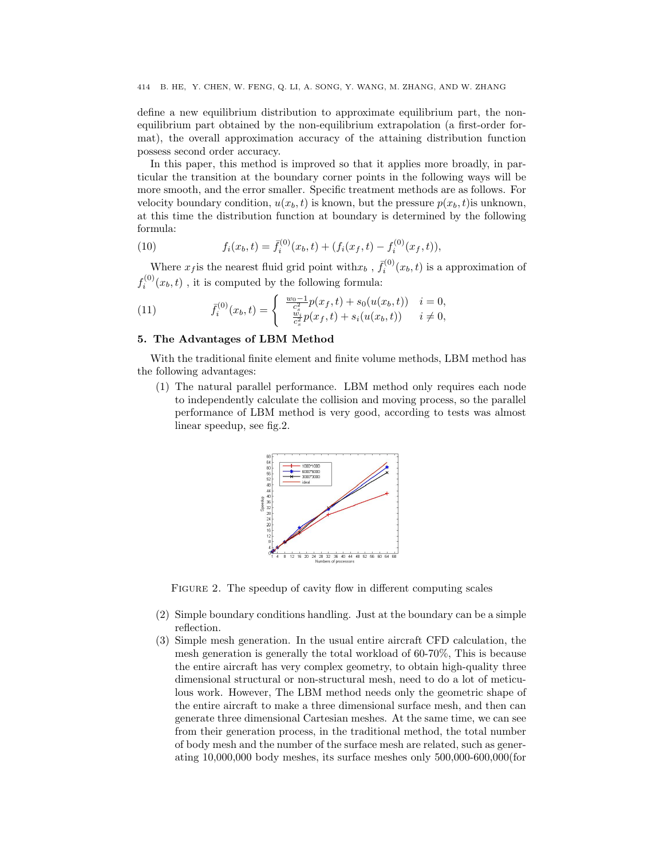define a new equilibrium distribution to approximate equilibrium part, the nonequilibrium part obtained by the non-equilibrium extrapolation (a first-order format), the overall approximation accuracy of the attaining distribution function possess second order accuracy.

In this paper, this method is improved so that it applies more broadly, in particular the transition at the boundary corner points in the following ways will be more smooth, and the error smaller. Specific treatment methods are as follows. For velocity boundary condition,  $u(x_b, t)$  is known, but the pressure  $p(x_b, t)$  is unknown, at this time the distribution function at boundary is determined by the following formula:

(10) 
$$
f_i(x_b, t) = \bar{f}_i^{(0)}(x_b, t) + (f_i(x_f, t) - f_i^{(0)}(x_f, t)),
$$

Where  $x_f$  is the nearest fluid grid point with  $x_b$ ,  $\bar{f}_i^{(0)}(x_b, t)$  is a approximation of  $f_i^{(0)}(x_b, t)$ , it is computed by the following formula:

(11) 
$$
\bar{f}_i^{(0)}(x_b, t) = \begin{cases} \frac{w_0 - 1}{c_s^2} p(x_f, t) + s_0(u(x_b, t)) & i = 0, \\ \frac{w_i}{c_s^2} p(x_f, t) + s_i(u(x_b, t)) & i \neq 0, \end{cases}
$$

## 5. The Advantages of LBM Method

With the traditional finite element and finite volume methods, LBM method has the following advantages:

(1) The natural parallel performance. LBM method only requires each node to independently calculate the collision and moving process, so the parallel performance of LBM method is very good, according to tests was almost linear speedup, see fig.2.



FIGURE 2. The speedup of cavity flow in different computing scales

- (2) Simple boundary conditions handling. Just at the boundary can be a simple reflection.
- (3) Simple mesh generation. In the usual entire aircraft CFD calculation, the mesh generation is generally the total workload of 60-70%, This is because the entire aircraft has very complex geometry, to obtain high-quality three dimensional structural or non-structural mesh, need to do a lot of meticulous work. However, The LBM method needs only the geometric shape of the entire aircraft to make a three dimensional surface mesh, and then can generate three dimensional Cartesian meshes. At the same time, we can see from their generation process, in the traditional method, the total number of body mesh and the number of the surface mesh are related, such as generating 10,000,000 body meshes, its surface meshes only 500,000-600,000(for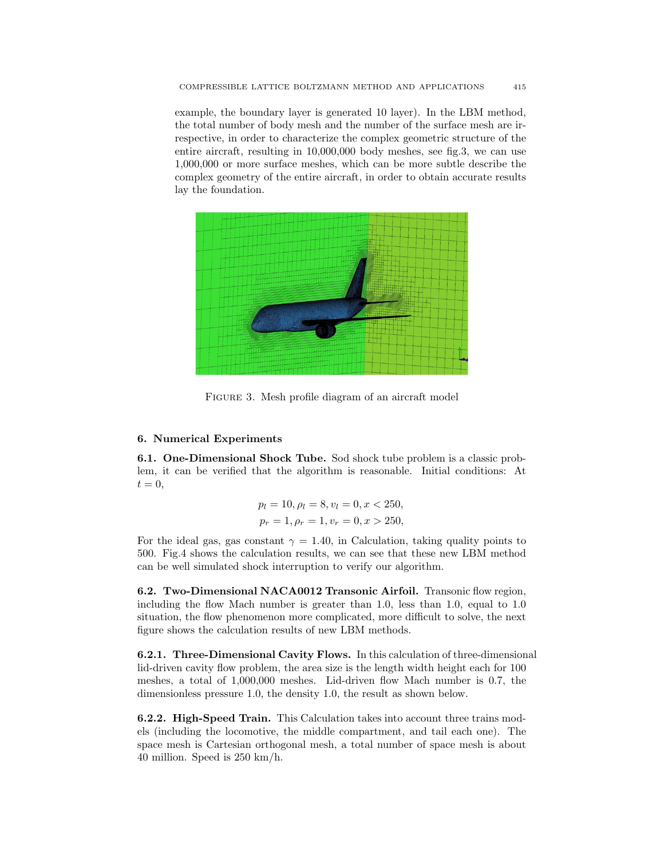example, the boundary layer is generated 10 layer). In the LBM method, the total number of body mesh and the number of the surface mesh are irrespective, in order to characterize the complex geometric structure of the entire aircraft, resulting in 10,000,000 body meshes, see fig.3, we can use 1,000,000 or more surface meshes, which can be more subtle describe the complex geometry of the entire aircraft, in order to obtain accurate results lay the foundation.



Figure 3. Mesh profile diagram of an aircraft model

## 6. Numerical Experiments

6.1. One-Dimensional Shock Tube. Sod shock tube problem is a classic problem, it can be verified that the algorithm is reasonable. Initial conditions: At  $t = 0$ ,

$$
p_l = 10, \rho_l = 8, v_l = 0, x < 250, \\
p_r = 1, \rho_r = 1, v_r = 0, x > 250,
$$

For the ideal gas, gas constant  $\gamma = 1.40$ , in Calculation, taking quality points to 500. Fig.4 shows the calculation results, we can see that these new LBM method can be well simulated shock interruption to verify our algorithm.

6.2. Two-Dimensional NACA0012 Transonic Airfoil. Transonic flow region, including the flow Mach number is greater than 1.0, less than 1.0, equal to 1.0 situation, the flow phenomenon more complicated, more difficult to solve, the next figure shows the calculation results of new LBM methods.

6.2.1. Three-Dimensional Cavity Flows. In this calculation of three-dimensional lid-driven cavity flow problem, the area size is the length width height each for 100 meshes, a total of 1,000,000 meshes. Lid-driven flow Mach number is 0.7, the dimensionless pressure 1.0, the density 1.0, the result as shown below.

6.2.2. High-Speed Train. This Calculation takes into account three trains models (including the locomotive, the middle compartment, and tail each one). The space mesh is Cartesian orthogonal mesh, a total number of space mesh is about 40 million. Speed is 250 km/h.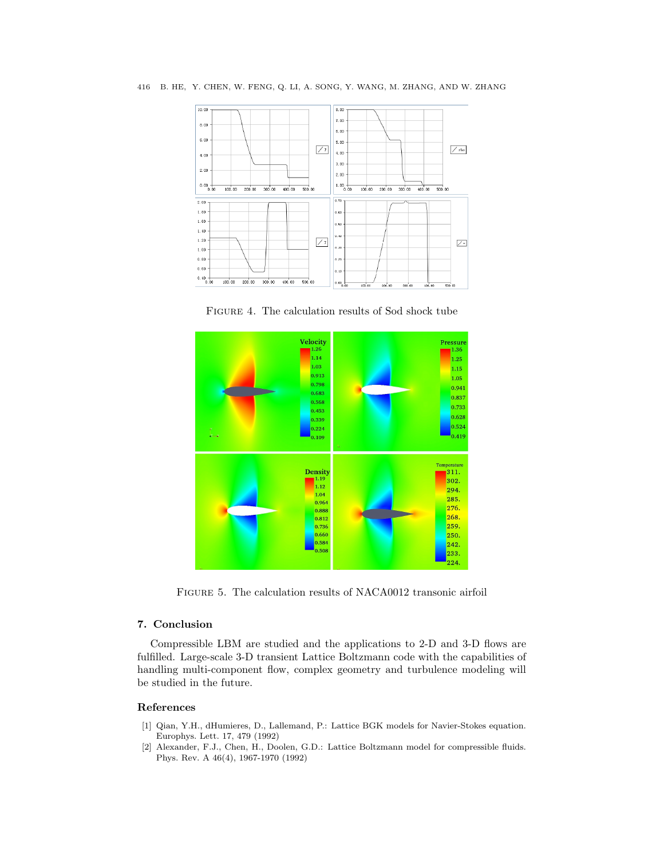416 B. HE, Y. CHEN, W. FENG, Q. LI, A. SONG, Y. WANG, M. ZHANG, AND W. ZHANG



Figure 4. The calculation results of Sod shock tube



Figure 5. The calculation results of NACA0012 transonic airfoil

## 7. Conclusion

Compressible LBM are studied and the applications to 2-D and 3-D flows are fulfilled. Large-scale 3-D transient Lattice Boltzmann code with the capabilities of handling multi-component flow, complex geometry and turbulence modeling will be studied in the future.

## References

- [1] Qian, Y.H., dHumieres, D., Lallemand, P.: Lattice BGK models for Navier-Stokes equation. Europhys. Lett. 17, 479 (1992)
- [2] Alexander, F.J., Chen, H., Doolen, G.D.: Lattice Boltzmann model for compressible fluids. Phys. Rev. A 46(4), 1967-1970 (1992)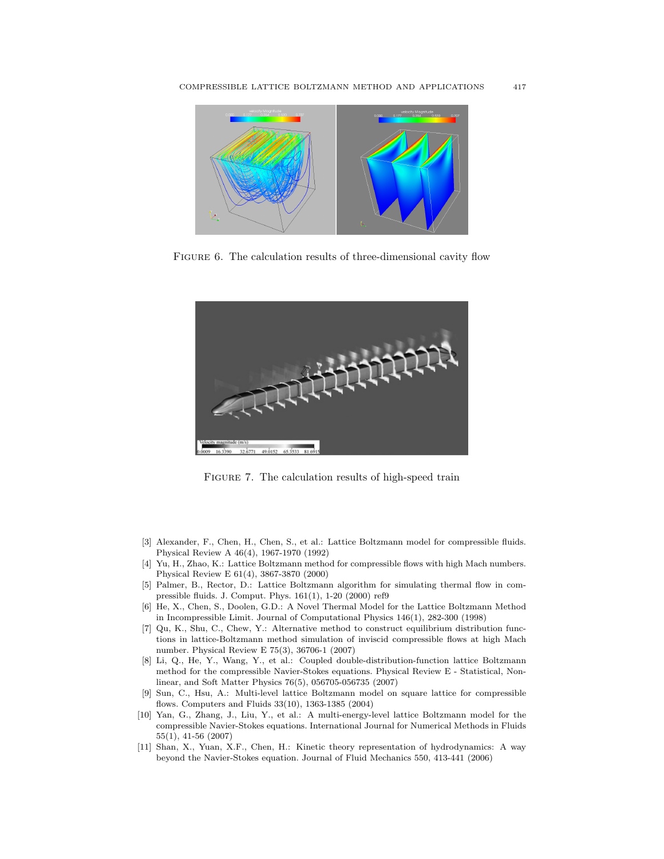![](_page_7_Figure_1.jpeg)

FIGURE 6. The calculation results of three-dimensional cavity flow

![](_page_7_Figure_3.jpeg)

FIGURE 7. The calculation results of high-speed train

- [3] Alexander, F., Chen, H., Chen, S., et al.: Lattice Boltzmann model for compressible fluids. Physical Review A 46(4), 1967-1970 (1992)
- [4] Yu, H., Zhao, K.: Lattice Boltzmann method for compressible flows with high Mach numbers. Physical Review E 61(4), 3867-3870 (2000)
- [5] Palmer, B., Rector, D.: Lattice Boltzmann algorithm for simulating thermal flow in compressible fluids. J. Comput. Phys. 161(1), 1-20 (2000) ref9
- [6] He, X., Chen, S., Doolen, G.D.: A Novel Thermal Model for the Lattice Boltzmann Method in Incompressible Limit. Journal of Computational Physics 146(1), 282-300 (1998)
- [7] Qu, K., Shu, C., Chew, Y.: Alternative method to construct equilibrium distribution functions in lattice-Boltzmann method simulation of inviscid compressible flows at high Mach number. Physical Review E 75(3), 36706-1 (2007)
- [8] Li, Q., He, Y., Wang, Y., et al.: Coupled double-distribution-function lattice Boltzmann method for the compressible Navier-Stokes equations. Physical Review E - Statistical, Nonlinear, and Soft Matter Physics 76(5), 056705-056735 (2007)
- [9] Sun, C., Hsu, A.: Multi-level lattice Boltzmann model on square lattice for compressible flows. Computers and Fluids 33(10), 1363-1385 (2004)
- [10] Yan, G., Zhang, J., Liu, Y., et al.: A multi-energy-level lattice Boltzmann model for the compressible Navier-Stokes equations. International Journal for Numerical Methods in Fluids 55(1), 41-56 (2007)
- [11] Shan, X., Yuan, X.F., Chen, H.: Kinetic theory representation of hydrodynamics: A way beyond the Navier-Stokes equation. Journal of Fluid Mechanics 550, 413-441 (2006)